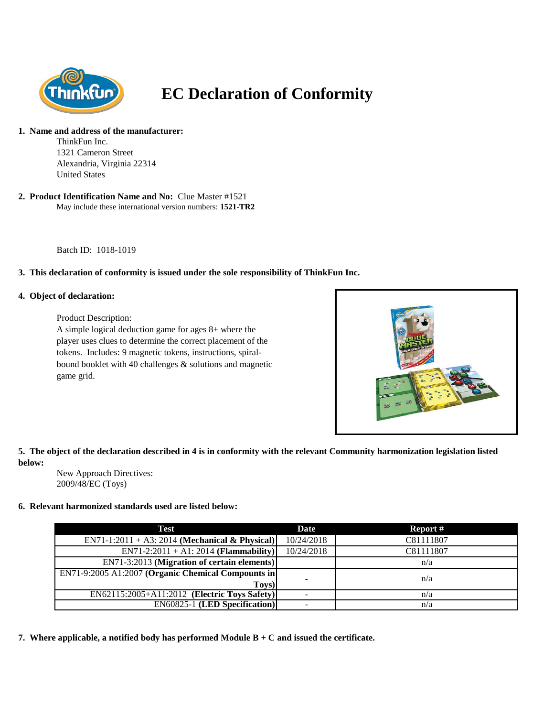

# **EC Declaration of Conformity**

#### **1. Name and address of the manufacturer:**

ThinkFun Inc. 1321 Cameron Street Alexandria, Virginia 22314 United States

#### May include these international version numbers: **1521-TR2 2. Product Identification Name and No:** Clue Master #1521

Batch ID: 1018-1019

### **3. This declaration of conformity is issued under the sole responsibility of ThinkFun Inc.**

### **4. Object of declaration:**

Product Description:

A simple logical deduction game for ages 8+ where the player uses clues to determine the correct placement of the tokens. Includes: 9 magnetic tokens, instructions, spiralbound booklet with 40 challenges & solutions and magnetic game grid.



# **5. The object of the declaration described in 4 is in conformity with the relevant Community harmonization legislation listed below:**

New Approach Directives: 2009/48/EC (Toys)

## **6. Relevant harmonized standards used are listed below:**

| Test                                               | Date       | Report #  |
|----------------------------------------------------|------------|-----------|
| $EN71-1:2011 + A3:2014$ (Mechanical & Physical)    | 10/24/2018 | C81111807 |
| $EN71-2:2011 + A1:2014$ (Flammability)             | 10/24/2018 | C81111807 |
| EN71-3:2013 (Migration of certain elements)        |            | n/a       |
| EN71-9:2005 A1:2007 (Organic Chemical Compounts in |            | n/a       |
| Toys)                                              |            |           |
| EN62115:2005+A11:2012 (Electric Toys Safety)       |            | n/a       |
| <b>EN60825-1 (LED Specification)</b>               |            | n/a       |

**7. Where applicable, a notified body has performed Module B + C and issued the certificate.**